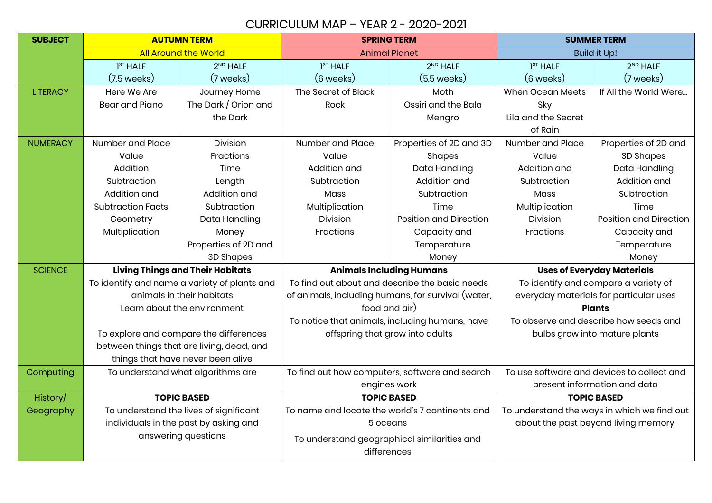## CURRICULUM MAP – YEAR 2 - 2020-2021

| <b>SUBJECT</b>  | <b>AUTUMN TERM</b>                           |                                           | <b>SPRING TERM</b>                                 |                               | <b>SUMMER TERM</b>                          |                               |
|-----------------|----------------------------------------------|-------------------------------------------|----------------------------------------------------|-------------------------------|---------------------------------------------|-------------------------------|
|                 | <b>All Around the World</b>                  |                                           | <b>Animal Planet</b>                               |                               | <b>Build it Up!</b>                         |                               |
|                 | 1 <sup>ST</sup> HALF                         | 2 <sup>ND</sup> HALF                      | 1 <sup>ST</sup> HALF                               | 2 <sup>ND</sup> HALF          | 1 <sup>ST</sup> HALF                        | 2 <sup>ND</sup> HALF          |
|                 | $(7.5 \text{ weeks})$                        | (7 weeks)                                 | (6 weeks)                                          | $(5.5$ weeks)                 | $(6 \text{ weeks})$                         | (7 weeks)                     |
| <b>LITERACY</b> | Here We Are                                  | Journey Home                              | The Secret of Black                                | Moth                          | <b>When Ocean Meets</b>                     | If All the World Were         |
|                 | <b>Bear and Piano</b>                        | The Dark / Orion and                      | Rock                                               | Ossiri and the Bala           | Sky                                         |                               |
|                 |                                              | the Dark                                  |                                                    | Mengro                        | Lila and the Secret                         |                               |
|                 |                                              |                                           |                                                    |                               | of Rain                                     |                               |
| <b>NUMERACY</b> | Number and Place                             | Division                                  | Number and Place                                   | Properties of 2D and 3D       | Number and Place                            | Properties of 2D and          |
|                 | Value                                        | Fractions                                 | Value                                              | Shapes                        | Value                                       | 3D Shapes                     |
|                 | Addition                                     | Time                                      | Addition and                                       | Data Handling                 | Addition and                                | Data Handling                 |
|                 | Subtraction                                  | Length                                    | Subtraction                                        | Addition and                  | Subtraction                                 | Addition and                  |
|                 | Addition and                                 | Addition and                              | Mass                                               | Subtraction                   | Mass                                        | Subtraction                   |
|                 | <b>Subtraction Facts</b>                     | Subtraction                               | Multiplication                                     | Time                          | Multiplication                              | Time                          |
|                 | Geometry                                     | Data Handling                             | Division                                           | <b>Position and Direction</b> | Division                                    | <b>Position and Direction</b> |
|                 | Multiplication                               | Money                                     | Fractions                                          | Capacity and                  | Fractions                                   | Capacity and                  |
|                 |                                              | Properties of 2D and                      |                                                    | Temperature                   |                                             | Temperature                   |
|                 |                                              | 3D Shapes                                 |                                                    | Money                         |                                             | Money                         |
| <b>SCIENCE</b>  | <b>Living Things and Their Habitats</b>      |                                           | <b>Animals Including Humans</b>                    |                               | <b>Uses of Everyday Materials</b>           |                               |
|                 | To identify and name a variety of plants and |                                           | To find out about and describe the basic needs     |                               | To identify and compare a variety of        |                               |
|                 | animals in their habitats                    |                                           | of animals, including humans, for survival (water, |                               | everyday materials for particular uses      |                               |
|                 | Learn about the environment                  |                                           | food and air)                                      |                               | <b>Plants</b>                               |                               |
|                 |                                              |                                           | To notice that animals, including humans, have     |                               | To observe and describe how seeds and       |                               |
|                 | To explore and compare the differences       |                                           | offspring that grow into adults                    |                               | bulbs grow into mature plants               |                               |
|                 |                                              | between things that are living, dead, and |                                                    |                               |                                             |                               |
|                 |                                              | things that have never been alive         |                                                    |                               |                                             |                               |
| Computing       | To understand what algorithms are            |                                           | To find out how computers, software and search     |                               | To use software and devices to collect and  |                               |
|                 |                                              |                                           | engines work                                       |                               | present information and data                |                               |
| History/        | <b>TOPIC BASED</b>                           |                                           | <b>TOPIC BASED</b>                                 |                               | <b>TOPIC BASED</b>                          |                               |
| Geography       | To understand the lives of significant       |                                           | To name and locate the world's 7 continents and    |                               | To understand the ways in which we find out |                               |
|                 | individuals in the past by asking and        |                                           | 5 oceans                                           |                               | about the past beyond living memory.        |                               |
|                 | answering questions                          |                                           | To understand geographical similarities and        |                               |                                             |                               |
|                 |                                              |                                           | differences                                        |                               |                                             |                               |